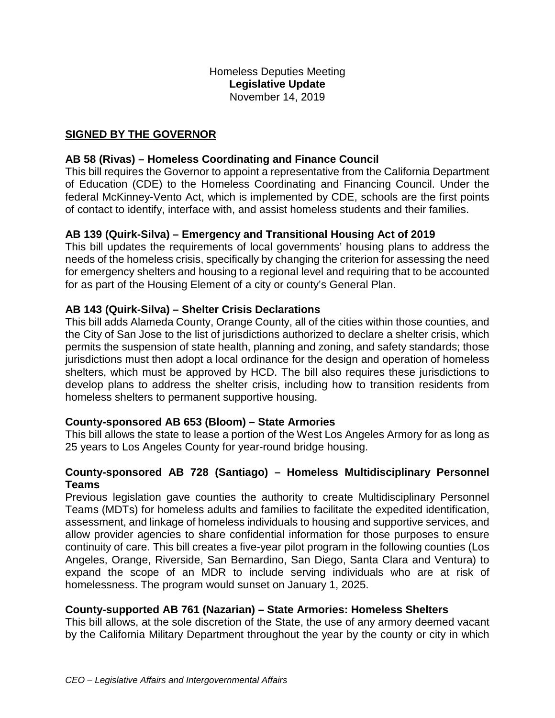## **SIGNED BY THE GOVERNOR**

## **AB 58 (Rivas) – Homeless Coordinating and Finance Council**

This bill requires the Governor to appoint a representative from the California Department of Education (CDE) to the Homeless Coordinating and Financing Council. Under the federal McKinney-Vento Act, which is implemented by CDE, schools are the first points of contact to identify, interface with, and assist homeless students and their families.

## **AB 139 (Quirk-Silva) – Emergency and Transitional Housing Act of 2019**

This bill updates the requirements of local governments' housing plans to address the needs of the homeless crisis, specifically by changing the criterion for assessing the need for emergency shelters and housing to a regional level and requiring that to be accounted for as part of the Housing Element of a city or county's General Plan.

## **AB 143 (Quirk-Silva) – Shelter Crisis Declarations**

This bill adds Alameda County, Orange County, all of the cities within those counties, and the City of San Jose to the list of jurisdictions authorized to declare a shelter crisis, which permits the suspension of state health, planning and zoning, and safety standards; those jurisdictions must then adopt a local ordinance for the design and operation of homeless shelters, which must be approved by HCD. The bill also requires these jurisdictions to develop plans to address the shelter crisis, including how to transition residents from homeless shelters to permanent supportive housing.

## **County-sponsored AB 653 (Bloom) – State Armories**

This bill allows the state to lease a portion of the West Los Angeles Armory for as long as 25 years to Los Angeles County for year-round bridge housing.

## **County-sponsored AB 728 (Santiago) – Homeless Multidisciplinary Personnel Teams**

Previous legislation gave counties the authority to create Multidisciplinary Personnel Teams (MDTs) for homeless adults and families to facilitate the expedited identification, assessment, and linkage of homeless individuals to housing and supportive services, and allow provider agencies to share confidential information for those purposes to ensure continuity of care. This bill creates a five-year pilot program in the following counties (Los Angeles, Orange, Riverside, San Bernardino, San Diego, Santa Clara and Ventura) to expand the scope of an MDR to include serving individuals who are at risk of homelessness. The program would sunset on January 1, 2025.

## **County-supported AB 761 (Nazarian) – State Armories: Homeless Shelters**

This bill allows, at the sole discretion of the State, the use of any armory deemed vacant by the California Military Department throughout the year by the county or city in which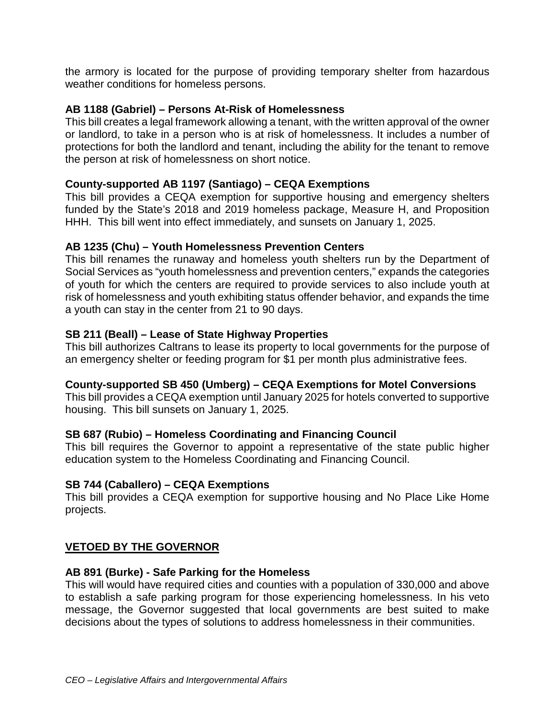the armory is located for the purpose of providing temporary shelter from hazardous weather conditions for homeless persons.

## **AB 1188 (Gabriel) – Persons At-Risk of Homelessness**

This bill creates a legal framework allowing a tenant, with the written approval of the owner or landlord, to take in a person who is at risk of homelessness. It includes a number of protections for both the landlord and tenant, including the ability for the tenant to remove the person at risk of homelessness on short notice.

#### **County-supported AB 1197 (Santiago) – CEQA Exemptions**

This bill provides a CEQA exemption for supportive housing and emergency shelters funded by the State's 2018 and 2019 homeless package, Measure H, and Proposition HHH. This bill went into effect immediately, and sunsets on January 1, 2025.

#### **AB 1235 (Chu) – Youth Homelessness Prevention Centers**

This bill renames the runaway and homeless youth shelters run by the Department of Social Services as "youth homelessness and prevention centers," expands the categories of youth for which the centers are required to provide services to also include youth at risk of homelessness and youth exhibiting status offender behavior, and expands the time a youth can stay in the center from 21 to 90 days.

#### **SB 211 (Beall) – Lease of State Highway Properties**

This bill authorizes Caltrans to lease its property to local governments for the purpose of an emergency shelter or feeding program for \$1 per month plus administrative fees.

# **County-supported SB 450 (Umberg) – CEQA Exemptions for Motel Conversions**

This bill provides a CEQA exemption until January 2025 for hotels converted to supportive housing. This bill sunsets on January 1, 2025.

#### **SB 687 (Rubio) – Homeless Coordinating and Financing Council**

This bill requires the Governor to appoint a representative of the state public higher education system to the Homeless Coordinating and Financing Council.

## **SB 744 (Caballero) – CEQA Exemptions**

This bill provides a CEQA exemption for supportive housing and No Place Like Home projects.

## **VETOED BY THE GOVERNOR**

## **AB 891 (Burke) - Safe Parking for the Homeless**

This will would have required cities and counties with a population of 330,000 and above to establish a safe parking program for those experiencing homelessness. In his veto message, the Governor suggested that local governments are best suited to make decisions about the types of solutions to address homelessness in their communities.